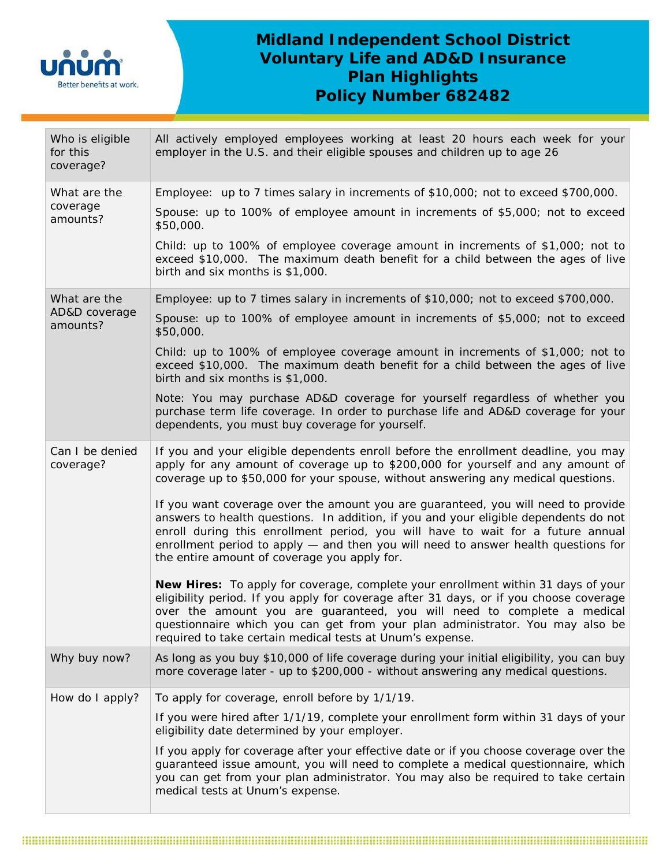

## **Midland Independent School District Voluntary Life and AD&D Insurance Plan Highlights Policy Number 682482**

| Who is eligible<br>for this<br>coverage?  | All actively employed employees working at least 20 hours each week for your<br>employer in the U.S. and their eligible spouses and children up to age 26                                                                                                                                                                                                                                            |  |  |  |  |
|-------------------------------------------|------------------------------------------------------------------------------------------------------------------------------------------------------------------------------------------------------------------------------------------------------------------------------------------------------------------------------------------------------------------------------------------------------|--|--|--|--|
| What are the<br>coverage<br>amounts?      | Employee: up to 7 times salary in increments of \$10,000; not to exceed \$700,000.                                                                                                                                                                                                                                                                                                                   |  |  |  |  |
|                                           | Spouse: up to 100% of employee amount in increments of \$5,000; not to exceed<br>\$50,000.                                                                                                                                                                                                                                                                                                           |  |  |  |  |
|                                           | Child: up to 100% of employee coverage amount in increments of \$1,000; not to<br>exceed \$10,000. The maximum death benefit for a child between the ages of live<br>birth and six months is \$1,000.                                                                                                                                                                                                |  |  |  |  |
| What are the<br>AD&D coverage<br>amounts? | Employee: up to 7 times salary in increments of \$10,000; not to exceed \$700,000.                                                                                                                                                                                                                                                                                                                   |  |  |  |  |
|                                           | Spouse: up to 100% of employee amount in increments of \$5,000; not to exceed<br>\$50,000.                                                                                                                                                                                                                                                                                                           |  |  |  |  |
|                                           | Child: up to 100% of employee coverage amount in increments of \$1,000; not to<br>exceed \$10,000. The maximum death benefit for a child between the ages of live<br>birth and six months is \$1,000.                                                                                                                                                                                                |  |  |  |  |
|                                           | Note: You may purchase AD&D coverage for yourself regardless of whether you<br>purchase term life coverage. In order to purchase life and AD&D coverage for your<br>dependents, you must buy coverage for yourself.                                                                                                                                                                                  |  |  |  |  |
| Can I be denied<br>coverage?              | If you and your eligible dependents enroll before the enrollment deadline, you may<br>apply for any amount of coverage up to \$200,000 for yourself and any amount of<br>coverage up to \$50,000 for your spouse, without answering any medical questions.                                                                                                                                           |  |  |  |  |
|                                           | If you want coverage over the amount you are guaranteed, you will need to provide<br>answers to health questions. In addition, if you and your eligible dependents do not<br>enroll during this enrollment period, you will have to wait for a future annual<br>enrollment period to apply - and then you will need to answer health questions for<br>the entire amount of coverage you apply for.   |  |  |  |  |
|                                           | New Hires: To apply for coverage, complete your enrollment within 31 days of your<br>eligibility period. If you apply for coverage after 31 days, or if you choose coverage<br>over the amount you are guaranteed, you will need to complete a medical<br>questionnaire which you can get from your plan administrator. You may also be<br>required to take certain medical tests at Unum's expense. |  |  |  |  |
| Why buy now?                              | As long as you buy \$10,000 of life coverage during your initial eligibility, you can buy<br>more coverage later - up to \$200,000 - without answering any medical questions.                                                                                                                                                                                                                        |  |  |  |  |
| How do I apply?                           | To apply for coverage, enroll before by 1/1/19.                                                                                                                                                                                                                                                                                                                                                      |  |  |  |  |
|                                           | If you were hired after 1/1/19, complete your enrollment form within 31 days of your<br>eligibility date determined by your employer.                                                                                                                                                                                                                                                                |  |  |  |  |
|                                           | If you apply for coverage after your effective date or if you choose coverage over the<br>guaranteed issue amount, you will need to complete a medical questionnaire, which<br>you can get from your plan administrator. You may also be required to take certain<br>medical tests at Unum's expense.                                                                                                |  |  |  |  |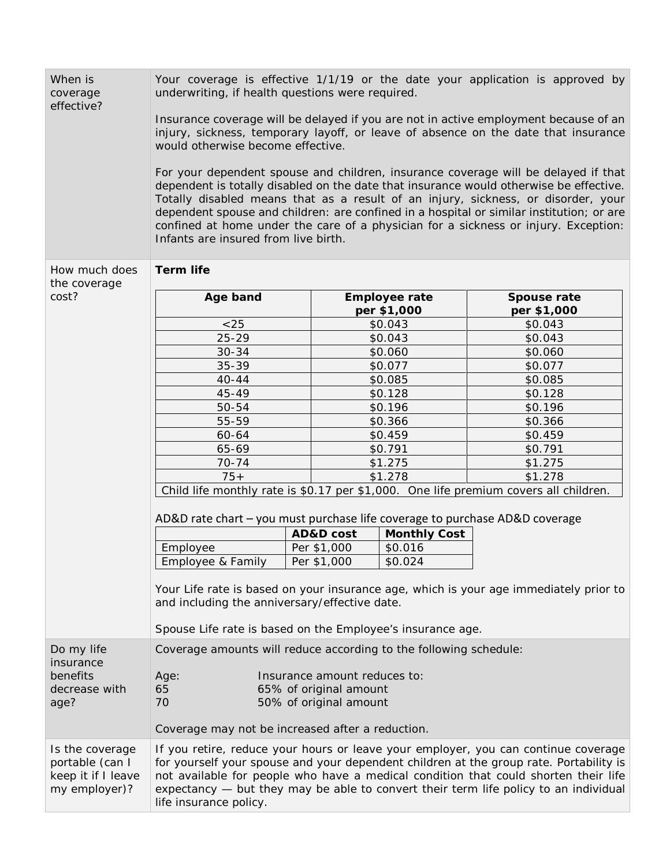| When is<br>coverage<br>effective?                                         | Your coverage is effective 1/1/19 or the date your application is approved by<br>underwriting, if health questions were required.                                                                                                                                                                                                                                                                                                                                                            |                    |                      |                                     |                            |  |
|---------------------------------------------------------------------------|----------------------------------------------------------------------------------------------------------------------------------------------------------------------------------------------------------------------------------------------------------------------------------------------------------------------------------------------------------------------------------------------------------------------------------------------------------------------------------------------|--------------------|----------------------|-------------------------------------|----------------------------|--|
|                                                                           | Insurance coverage will be delayed if you are not in active employment because of an<br>injury, sickness, temporary layoff, or leave of absence on the date that insurance<br>would otherwise become effective.                                                                                                                                                                                                                                                                              |                    |                      |                                     |                            |  |
|                                                                           | For your dependent spouse and children, insurance coverage will be delayed if that<br>dependent is totally disabled on the date that insurance would otherwise be effective.<br>Totally disabled means that as a result of an injury, sickness, or disorder, your<br>dependent spouse and children: are confined in a hospital or similar institution; or are<br>confined at home under the care of a physician for a sickness or injury. Exception:<br>Infants are insured from live birth. |                    |                      |                                     |                            |  |
| <b>Term life</b><br>How much does                                         |                                                                                                                                                                                                                                                                                                                                                                                                                                                                                              |                    |                      |                                     |                            |  |
| the coverage<br>cost?                                                     | Age band                                                                                                                                                                                                                                                                                                                                                                                                                                                                                     |                    |                      | <b>Employee rate</b><br>per \$1,000 | Spouse rate<br>per \$1,000 |  |
|                                                                           | < 25                                                                                                                                                                                                                                                                                                                                                                                                                                                                                         |                    | \$0.043              |                                     | \$0.043                    |  |
|                                                                           | $25 - 29$                                                                                                                                                                                                                                                                                                                                                                                                                                                                                    |                    | \$0.043              |                                     | \$0.043                    |  |
|                                                                           | $30 - 34$                                                                                                                                                                                                                                                                                                                                                                                                                                                                                    |                    | \$0.060              |                                     | \$0.060                    |  |
|                                                                           | $35 - 39$                                                                                                                                                                                                                                                                                                                                                                                                                                                                                    |                    | \$0.077              |                                     | \$0.077                    |  |
|                                                                           | $40 - 44$                                                                                                                                                                                                                                                                                                                                                                                                                                                                                    |                    | \$0.085              |                                     | \$0.085                    |  |
|                                                                           | 45-49                                                                                                                                                                                                                                                                                                                                                                                                                                                                                        |                    | \$0.128              |                                     | \$0.128                    |  |
|                                                                           | 50-54<br>55-59                                                                                                                                                                                                                                                                                                                                                                                                                                                                               |                    | \$0.196              |                                     | \$0.196<br>\$0.366         |  |
|                                                                           | 60-64                                                                                                                                                                                                                                                                                                                                                                                                                                                                                        | \$0.366<br>\$0.459 |                      |                                     | \$0.459                    |  |
|                                                                           | 65-69                                                                                                                                                                                                                                                                                                                                                                                                                                                                                        |                    | \$0.791              |                                     | \$0.791                    |  |
|                                                                           | $70 - 74$                                                                                                                                                                                                                                                                                                                                                                                                                                                                                    |                    | \$1.275              |                                     | \$1.275                    |  |
|                                                                           | $75+$                                                                                                                                                                                                                                                                                                                                                                                                                                                                                        |                    | \$1.278              |                                     | \$1.278                    |  |
|                                                                           | Child life monthly rate is \$0.17 per \$1,000. One life premium covers all children.                                                                                                                                                                                                                                                                                                                                                                                                         |                    |                      |                                     |                            |  |
|                                                                           | AD&D rate chart - you must purchase life coverage to purchase AD&D coverage                                                                                                                                                                                                                                                                                                                                                                                                                  |                    |                      |                                     |                            |  |
|                                                                           |                                                                                                                                                                                                                                                                                                                                                                                                                                                                                              |                    | <b>AD&amp;D</b> cost | <b>Monthly Cost</b>                 |                            |  |
|                                                                           | Employee                                                                                                                                                                                                                                                                                                                                                                                                                                                                                     |                    | Per \$1,000          | \$0.016                             |                            |  |
|                                                                           | Employee & Family                                                                                                                                                                                                                                                                                                                                                                                                                                                                            |                    | Per \$1,000          | \$0.024                             |                            |  |
|                                                                           | Your Life rate is based on your insurance age, which is your age immediately prior to<br>and including the anniversary/effective date.<br>Spouse Life rate is based on the Employee's insurance age.                                                                                                                                                                                                                                                                                         |                    |                      |                                     |                            |  |
| Do my life                                                                | Coverage amounts will reduce according to the following schedule:                                                                                                                                                                                                                                                                                                                                                                                                                            |                    |                      |                                     |                            |  |
| insurance<br>benefits                                                     | Insurance amount reduces to:<br>Age:                                                                                                                                                                                                                                                                                                                                                                                                                                                         |                    |                      |                                     |                            |  |
| decrease with<br>age?                                                     | 65<br>65% of original amount<br>70<br>50% of original amount                                                                                                                                                                                                                                                                                                                                                                                                                                 |                    |                      |                                     |                            |  |
|                                                                           | Coverage may not be increased after a reduction.                                                                                                                                                                                                                                                                                                                                                                                                                                             |                    |                      |                                     |                            |  |
| Is the coverage<br>portable (can I<br>keep it if I leave<br>my employer)? | If you retire, reduce your hours or leave your employer, you can continue coverage<br>for yourself your spouse and your dependent children at the group rate. Portability is<br>not available for people who have a medical condition that could shorten their life<br>expectancy - but they may be able to convert their term life policy to an individual<br>life insurance policy.                                                                                                        |                    |                      |                                     |                            |  |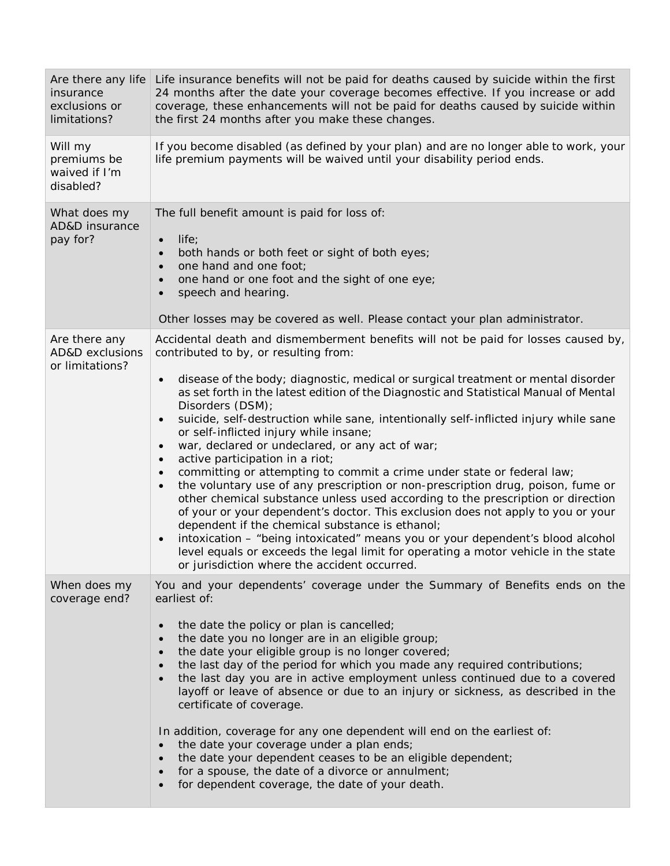| Are there any life<br>insurance<br>exclusions or<br>limitations? | Life insurance benefits will not be paid for deaths caused by suicide within the first<br>24 months after the date your coverage becomes effective. If you increase or add<br>coverage, these enhancements will not be paid for deaths caused by suicide within<br>the first 24 months after you make these changes.                                                                                                                                                                                                                                                                                                                                                                                                                                                                                                                                                                                                                                                                                                                                                                                                                                                 |  |  |  |
|------------------------------------------------------------------|----------------------------------------------------------------------------------------------------------------------------------------------------------------------------------------------------------------------------------------------------------------------------------------------------------------------------------------------------------------------------------------------------------------------------------------------------------------------------------------------------------------------------------------------------------------------------------------------------------------------------------------------------------------------------------------------------------------------------------------------------------------------------------------------------------------------------------------------------------------------------------------------------------------------------------------------------------------------------------------------------------------------------------------------------------------------------------------------------------------------------------------------------------------------|--|--|--|
| Will my<br>premiums be<br>waived if I'm<br>disabled?             | If you become disabled (as defined by your plan) and are no longer able to work, your<br>life premium payments will be waived until your disability period ends.                                                                                                                                                                                                                                                                                                                                                                                                                                                                                                                                                                                                                                                                                                                                                                                                                                                                                                                                                                                                     |  |  |  |
| What does my<br>AD&D insurance<br>pay for?                       | The full benefit amount is paid for loss of:<br>life;<br>$\bullet$<br>both hands or both feet or sight of both eyes;<br>one hand and one foot;<br>one hand or one foot and the sight of one eye;<br>speech and hearing.<br>Other losses may be covered as well. Please contact your plan administrator.                                                                                                                                                                                                                                                                                                                                                                                                                                                                                                                                                                                                                                                                                                                                                                                                                                                              |  |  |  |
| Are there any<br><b>AD&amp;D</b> exclusions<br>or limitations?   | Accidental death and dismemberment benefits will not be paid for losses caused by,<br>contributed to by, or resulting from:<br>disease of the body; diagnostic, medical or surgical treatment or mental disorder<br>as set forth in the latest edition of the Diagnostic and Statistical Manual of Mental<br>Disorders (DSM);<br>suicide, self-destruction while sane, intentionally self-inflicted injury while sane<br>or self-inflicted injury while insane;<br>war, declared or undeclared, or any act of war;<br>active participation in a riot;<br>committing or attempting to commit a crime under state or federal law;<br>the voluntary use of any prescription or non-prescription drug, poison, fume or<br>other chemical substance unless used according to the prescription or direction<br>of your or your dependent's doctor. This exclusion does not apply to you or your<br>dependent if the chemical substance is ethanol;<br>intoxication - "being intoxicated" means you or your dependent's blood alcohol<br>level equals or exceeds the legal limit for operating a motor vehicle in the state<br>or jurisdiction where the accident occurred. |  |  |  |
| When does my<br>coverage end?                                    | You and your dependents' coverage under the Summary of Benefits ends on the<br>earliest of:<br>the date the policy or plan is cancelled;<br>the date you no longer are in an eligible group;<br>the date your eligible group is no longer covered;<br>$\bullet$<br>the last day of the period for which you made any required contributions;<br>the last day you are in active employment unless continued due to a covered<br>layoff or leave of absence or due to an injury or sickness, as described in the<br>certificate of coverage.<br>In addition, coverage for any one dependent will end on the earliest of:<br>the date your coverage under a plan ends;<br>the date your dependent ceases to be an eligible dependent;<br>for a spouse, the date of a divorce or annulment;<br>for dependent coverage, the date of your death.                                                                                                                                                                                                                                                                                                                           |  |  |  |